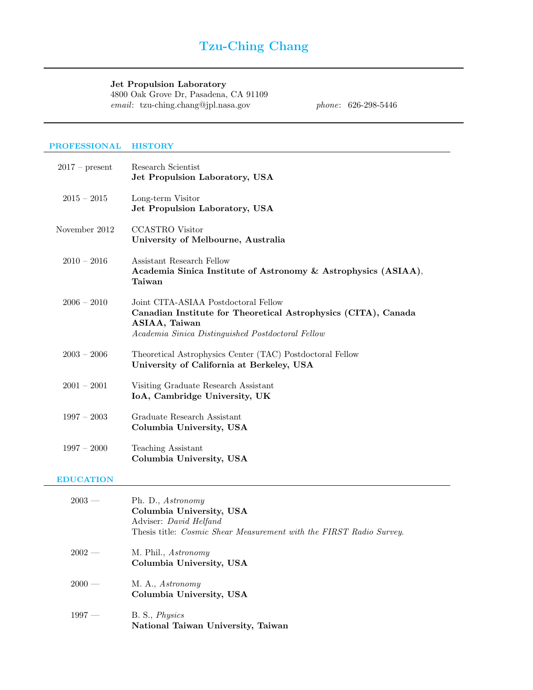# Tzu-Ching Chang

## Jet Propulsion Laboratory

4800 Oak Grove Dr, Pasadena, CA 91109 email: tzu-ching.chang@jpl.nasa.gov phone: 626-298-5446

## PROFESSIONAL HISTORY

| $2017$ – present | Research Scientist<br>Jet Propulsion Laboratory, USA                                                                                                                         |
|------------------|------------------------------------------------------------------------------------------------------------------------------------------------------------------------------|
| $2015 - 2015$    | Long-term Visitor<br>Jet Propulsion Laboratory, USA                                                                                                                          |
| November 2012    | <b>CCASTRO</b> Visitor<br>University of Melbourne, Australia                                                                                                                 |
| $2010 - 2016$    | Assistant Research Fellow<br>Academia Sinica Institute of Astronomy & Astrophysics (ASIAA),<br>Taiwan                                                                        |
| $2006 - 2010$    | Joint CITA-ASIAA Postdoctoral Fellow<br>Canadian Institute for Theoretical Astrophysics (CITA), Canada<br>ASIAA, Taiwan<br>Academia Sinica Distinguished Postdoctoral Fellow |
| $2003 - 2006$    | Theoretical Astrophysics Center (TAC) Postdoctoral Fellow<br>University of California at Berkeley, USA                                                                       |
| $2001 - 2001$    | Visiting Graduate Research Assistant<br>IoA, Cambridge University, UK                                                                                                        |
| $1997 - 2003$    | Graduate Research Assistant<br>Columbia University, USA                                                                                                                      |
| $1997 - 2000$    | <b>Teaching Assistant</b><br>Columbia University, USA                                                                                                                        |

## EDUCATION

| $2003 -$ | Ph. D., Astronomy<br>Columbia University, USA<br>Adviser: David Helfand<br>Thesis title: <i>Cosmic Shear Measurement with the FIRST Radio Survey</i> . |
|----------|--------------------------------------------------------------------------------------------------------------------------------------------------------|
| $2002 -$ | M. Phil., <i>Astronomy</i><br>Columbia University, USA                                                                                                 |
| $2000 -$ | M. A., Astronomy<br>Columbia University, USA                                                                                                           |
| $1997 -$ | B. S., <i>Physics</i><br>National Taiwan University, Taiwan                                                                                            |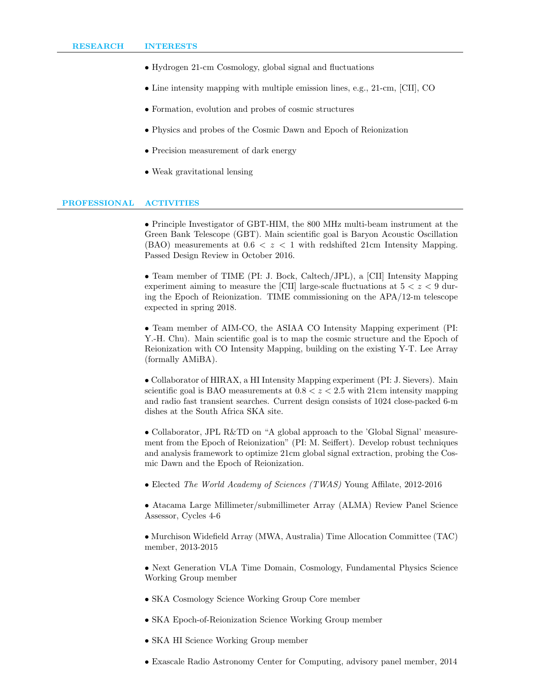- Hydrogen 21-cm Cosmology, global signal and fluctuations
- Line intensity mapping with multiple emission lines, e.g., 21-cm, [CII], CO
- Formation, evolution and probes of cosmic structures
- Physics and probes of the Cosmic Dawn and Epoch of Reionization
- Precision measurement of dark energy
- Weak gravitational lensing

#### PROFESSIONAL ACTIVITIES

• Principle Investigator of GBT-HIM, the 800 MHz multi-beam instrument at the Green Bank Telescope (GBT). Main scientific goal is Baryon Acoustic Oscillation (BAO) measurements at  $0.6 < z < 1$  with redshifted 21cm Intensity Mapping. Passed Design Review in October 2016.

• Team member of TIME (PI: J. Bock, Caltech/JPL), a [CII] Intensity Mapping experiment aiming to measure the  $\text{[CII]}$  large-scale fluctuations at  $5 < z < 9$  during the Epoch of Reionization. TIME commissioning on the APA/12-m telescope expected in spring 2018.

• Team member of AIM-CO, the ASIAA CO Intensity Mapping experiment (PI: Y.-H. Chu). Main scientific goal is to map the cosmic structure and the Epoch of Reionization with CO Intensity Mapping, building on the existing Y-T. Lee Array (formally AMiBA).

• Collaborator of HIRAX, a HI Intensity Mapping experiment (PI: J. Sievers). Main scientific goal is BAO measurements at  $0.8 < z < 2.5$  with 21cm intensity mapping and radio fast transient searches. Current design consists of 1024 close-packed 6-m dishes at the South Africa SKA site.

• Collaborator, JPL R&TD on "A global approach to the 'Global Signal' measurement from the Epoch of Reionization" (PI: M. Seiffert). Develop robust techniques and analysis framework to optimize 21cm global signal extraction, probing the Cosmic Dawn and the Epoch of Reionization.

• Elected The World Academy of Sciences (TWAS) Young Affilate, 2012-2016

• Atacama Large Millimeter/submillimeter Array (ALMA) Review Panel Science Assessor, Cycles 4-6

• Murchison Widefield Array (MWA, Australia) Time Allocation Committee (TAC) member, 2013-2015

• Next Generation VLA Time Domain, Cosmology, Fundamental Physics Science Working Group member

- SKA Cosmology Science Working Group Core member
- SKA Epoch-of-Reionization Science Working Group member
- SKA HI Science Working Group member
- Exascale Radio Astronomy Center for Computing, advisory panel member, 2014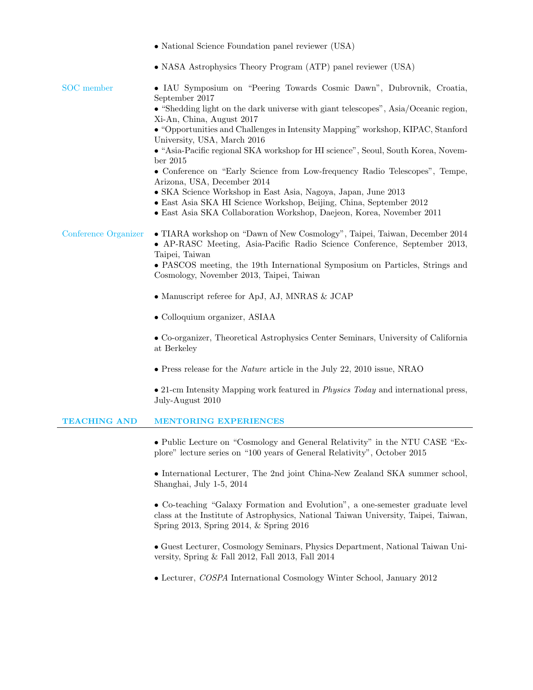|                      | • National Science Foundation panel reviewer (USA)                                                                                                                                                                                                                                                                                                                                                                                                                                                                                                                                                                                                                                                                                                                              |
|----------------------|---------------------------------------------------------------------------------------------------------------------------------------------------------------------------------------------------------------------------------------------------------------------------------------------------------------------------------------------------------------------------------------------------------------------------------------------------------------------------------------------------------------------------------------------------------------------------------------------------------------------------------------------------------------------------------------------------------------------------------------------------------------------------------|
|                      | • NASA Astrophysics Theory Program (ATP) panel reviewer (USA)                                                                                                                                                                                                                                                                                                                                                                                                                                                                                                                                                                                                                                                                                                                   |
| <b>SOC</b> member    | • IAU Symposium on "Peering Towards Cosmic Dawn", Dubrovnik, Croatia,<br>September 2017<br>$\bullet$ "Shedding light on the dark universe with giant telescopes", Asia/Oceanic region,<br>Xi-An, China, August 2017<br>$\bullet$ "Opportunities and Challenges in Intensity Mapping" workshop, KIPAC, Stanford<br>University, USA, March 2016<br>• "Asia-Pacific regional SKA workshop for HI science", Seoul, South Korea, Novem-<br>ber $2015$<br>• Conference on "Early Science from Low-frequency Radio Telescopes", Tempe,<br>Arizona, USA, December 2014<br>• SKA Science Workshop in East Asia, Nagoya, Japan, June 2013<br>• East Asia SKA HI Science Workshop, Beijing, China, September 2012<br>• East Asia SKA Collaboration Workshop, Daejeon, Korea, November 2011 |
| Conference Organizer | • TIARA workshop on "Dawn of New Cosmology", Taipei, Taiwan, December 2014<br>• AP-RASC Meeting, Asia-Pacific Radio Science Conference, September 2013,<br>Taipei, Taiwan<br>• PASCOS meeting, the 19th International Symposium on Particles, Strings and<br>Cosmology, November 2013, Taipei, Taiwan<br>$\bullet$ Manuscript referee for ApJ, AJ, MNRAS & JCAP<br>• Colloquium organizer, ASIAA<br>• Co-organizer, Theoretical Astrophysics Center Seminars, University of California<br>at Berkeley<br>$\bullet$ Press release for the <i>Nature</i> article in the July 22, 2010 issue, NRAO<br>$\bullet$ 21-cm Intensity Mapping work featured in <i>Physics Today</i> and international press,<br>July-August 2010                                                         |
| <b>TEACHING AND</b>  | <b>MENTORING EXPERIENCES</b>                                                                                                                                                                                                                                                                                                                                                                                                                                                                                                                                                                                                                                                                                                                                                    |
|                      | • Public Lecture on "Cosmology and General Relativity" in the NTU CASE "Ex-<br>plore" lecture series on "100 years of General Relativity", October 2015<br>• International Lecturer, The 2nd joint China-New Zealand SKA summer school,<br>Shanghai, July 1-5, 2014<br>• Co-teaching "Galaxy Formation and Evolution", a one-semester graduate level<br>class at the Institute of Astrophysics, National Taiwan University, Taipei, Taiwan,<br>Spring 2013, Spring 2014, & Spring 2016<br>• Guest Lecturer, Cosmology Seminars, Physics Department, National Taiwan Uni-<br>versity, Spring & Fall 2012, Fall 2013, Fall 2014<br>• Lecturer, COSPA International Cosmology Winter School, January 2012                                                                          |
|                      |                                                                                                                                                                                                                                                                                                                                                                                                                                                                                                                                                                                                                                                                                                                                                                                 |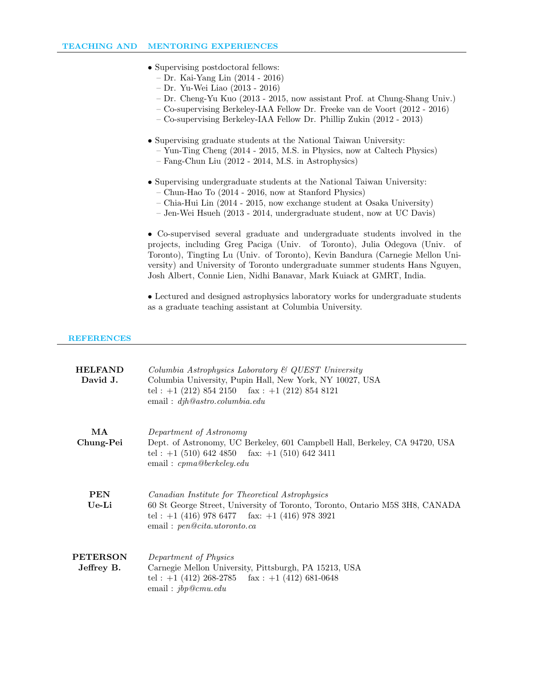- Supervising postdoctoral fellows:
	- Dr. Kai-Yang Lin (2014 2016)
	- Dr. Yu-Wei Liao (2013 2016)
	- Dr. Cheng-Yu Kuo (2013 2015, now assistant Prof. at Chung-Shang Univ.)
	- Co-supervising Berkeley-IAA Fellow Dr. Freeke van de Voort (2012 2016)
	- Co-supervising Berkeley-IAA Fellow Dr. Phillip Zukin (2012 2013)
- Supervising graduate students at the National Taiwan University:
	- Yun-Ting Cheng (2014 2015, M.S. in Physics, now at Caltech Physics)
	- Fang-Chun Liu (2012 2014, M.S. in Astrophysics)
- Supervising undergraduate students at the National Taiwan University:
	- Chun-Hao To (2014 2016, now at Stanford Physics)
	- Chia-Hui Lin (2014 2015, now exchange student at Osaka University)
	- Jen-Wei Hsueh (2013 2014, undergraduate student, now at UC Davis)

• Co-supervised several graduate and undergraduate students involved in the projects, including Greg Paciga (Univ. of Toronto), Julia Odegova (Univ. of Toronto), Tingting Lu (Univ. of Toronto), Kevin Bandura (Carnegie Mellon University) and University of Toronto undergraduate summer students Hans Nguyen, Josh Albert, Connie Lien, Nidhi Banavar, Mark Kuiack at GMRT, India.

• Lectured and designed astrophysics laboratory works for undergraduate students as a graduate teaching assistant at Columbia University.

#### **REFERENCES**

| <b>HELFAND</b><br>David J.    | Columbia Astrophysics Laboratory $\mathcal B$ QUEST University<br>Columbia University, Pupin Hall, New York, NY 10027, USA<br>tel: $+1$ (212) 854 2150 fax: $+1$ (212) 854 8121<br>email: $djh@astro.columbia.edu$  |
|-------------------------------|---------------------------------------------------------------------------------------------------------------------------------------------------------------------------------------------------------------------|
| MA<br>Chung-Pei               | Department of Astronomy<br>Dept. of Astronomy, UC Berkeley, 601 Campbell Hall, Berkeley, CA 94720, USA<br>tel: $+1$ (510) 642 4850 fax: $+1$ (510) 642 3411<br>email: $cpma@berkeley.edu$                           |
| <b>PEN</b><br>Ue-Li           | Canadian Institute for Theoretical Astrophysics<br>60 St George Street, University of Toronto, Toronto, Ontario M5S 3H8, CANADA<br>tel: $+1$ (416) 978 6477 fax: $+1$ (416) 978 3921<br>email: pen@cita.utoronto.ca |
| <b>PETERSON</b><br>Jeffrey B. | Department of Physics<br>Carnegie Mellon University, Pittsburgh, PA 15213, USA<br>tel: $+1$ (412) 268-2785 fax: $+1$ (412) 681-0648<br>email: $jbp@cmu.edu$                                                         |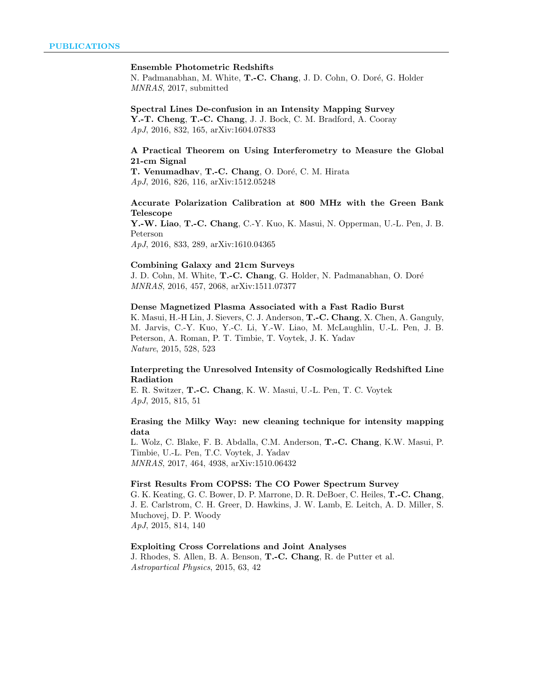#### Ensemble Photometric Redshifts

N. Padmanabhan, M. White, T.-C. Chang, J. D. Cohn, O. Doré, G. Holder MNRAS, 2017, submitted

# Spectral Lines De-confusion in an Intensity Mapping Survey

Y.-T. Cheng, T.-C. Chang, J. J. Bock, C. M. Bradford, A. Cooray ApJ, 2016, 832, 165, arXiv:1604.07833

#### A Practical Theorem on Using Interferometry to Measure the Global 21-cm Signal

T. Venumadhav, T.-C. Chang, O. Doré, C. M. Hirata ApJ, 2016, 826, 116, arXiv:1512.05248

## Accurate Polarization Calibration at 800 MHz with the Green Bank Telescope

Y.-W. Liao, T.-C. Chang, C.-Y. Kuo, K. Masui, N. Opperman, U.-L. Pen, J. B. Peterson ApJ, 2016, 833, 289, arXiv:1610.04365

#### Combining Galaxy and 21cm Surveys

J. D. Cohn, M. White, T.-C. Chang, G. Holder, N. Padmanabhan, O. Doré MNRAS, 2016, 457, 2068, arXiv:1511.07377

#### Dense Magnetized Plasma Associated with a Fast Radio Burst

K. Masui, H.-H Lin, J. Sievers, C. J. Anderson, T.-C. Chang, X. Chen, A. Ganguly, M. Jarvis, C.-Y. Kuo, Y.-C. Li, Y.-W. Liao, M. McLaughlin, U.-L. Pen, J. B. Peterson, A. Roman, P. T. Timbie, T. Voytek, J. K. Yadav Nature, 2015, 528, 523

#### Interpreting the Unresolved Intensity of Cosmologically Redshifted Line Radiation

E. R. Switzer, T.-C. Chang, K. W. Masui, U.-L. Pen, T. C. Voytek ApJ, 2015, 815, 51

## Erasing the Milky Way: new cleaning technique for intensity mapping data

L. Wolz, C. Blake, F. B. Abdalla, C.M. Anderson, T.-C. Chang, K.W. Masui, P. Timbie, U.-L. Pen, T.C. Voytek, J. Yadav MNRAS, 2017, 464, 4938, arXiv:1510.06432

### First Results From COPSS: The CO Power Spectrum Survey

G. K. Keating, G. C. Bower, D. P. Marrone, D. R. DeBoer, C. Heiles, T.-C. Chang, J. E. Carlstrom, C. H. Greer, D. Hawkins, J. W. Lamb, E. Leitch, A. D. Miller, S. Muchovej, D. P. Woody

ApJ, 2015, 814, 140

## Exploiting Cross Correlations and Joint Analyses

J. Rhodes, S. Allen, B. A. Benson, T.-C. Chang, R. de Putter et al. Astropartical Physics, 2015, 63, 42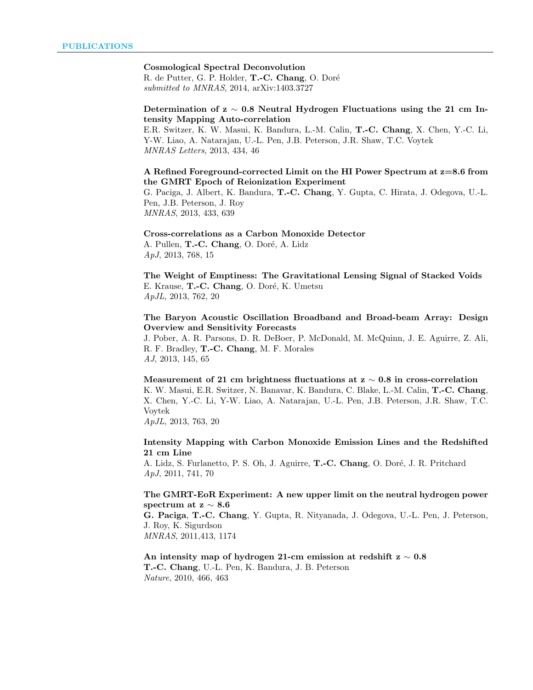## Cosmological Spectral Deconvolution

R. de Putter, G. P. Holder, T.-C. Chang, O. Doré submitted to MNRAS, 2014, arXiv:1403.3727

#### Determination of  $z \sim 0.8$  Neutral Hydrogen Fluctuations using the 21 cm Intensity Mapping Auto-correlation

E.R. Switzer, K. W. Masui, K. Bandura, L.-M. Calin, T.-C. Chang, X. Chen, Y.-C. Li, Y-W. Liao, A. Natarajan, U.-L. Pen, J.B. Peterson, J.R. Shaw, T.C. Voytek MNRAS Letters, 2013, 434, 46

#### A Refined Foreground-corrected Limit on the HI Power Spectrum at z=8.6 from the GMRT Epoch of Reionization Experiment

G. Paciga, J. Albert, K. Bandura, T.-C. Chang, Y. Gupta, C. Hirata, J. Odegova, U.-L. Pen, J.B. Peterson, J. Roy MNRAS, 2013, 433, 639

#### Cross-correlations as a Carbon Monoxide Detector A. Pullen, T.-C. Chang, O. Doré, A. Lidz ApJ, 2013, 768, 15

The Weight of Emptiness: The Gravitational Lensing Signal of Stacked Voids E. Krause, T.-C. Chang, O. Doré, K. Umetsu ApJL, 2013, 762, 20

#### The Baryon Acoustic Oscillation Broadband and Broad-beam Array: Design Overview and Sensitivity Forecasts

J. Pober, A. R. Parsons, D. R. DeBoer, P. McDonald, M. McQuinn, J. E. Aguirre, Z. Ali, R. F. Bradley, T.-C. Chang, M. F. Morales AJ, 2013, 145, 65

Measurement of 21 cm brightness fluctuations at  $z \sim 0.8$  in cross-correlation K. W. Masui, E.R. Switzer, N. Banavar, K. Bandura, C. Blake, L.-M. Calin, T.-C. Chang, X. Chen, Y.-C. Li, Y-W. Liao, A. Natarajan, U.-L. Pen, J.B. Peterson, J.R. Shaw, T.C. Voytek

ApJL, 2013, 763, 20

## Intensity Mapping with Carbon Monoxide Emission Lines and the Redshifted 21 cm Line

A. Lidz, S. Furlanetto, P. S. Oh, J. Aguirre, T.-C. Chang, O. Doré, J. R. Pritchard ApJ, 2011, 741, 70

#### The GMRT-EoR Experiment: A new upper limit on the neutral hydrogen power spectrum at z ∼ 8.6

G. Paciga, T.-C. Chang, Y. Gupta, R. Nityanada, J. Odegova, U.-L. Pen, J. Peterson, J. Roy, K. Sigurdson

MNRAS, 2011,413, 1174

An intensity map of hydrogen 21-cm emission at redshift  $z \sim 0.8$ T.-C. Chang, U.-L. Pen, K. Bandura, J. B. Peterson Nature, 2010, 466, 463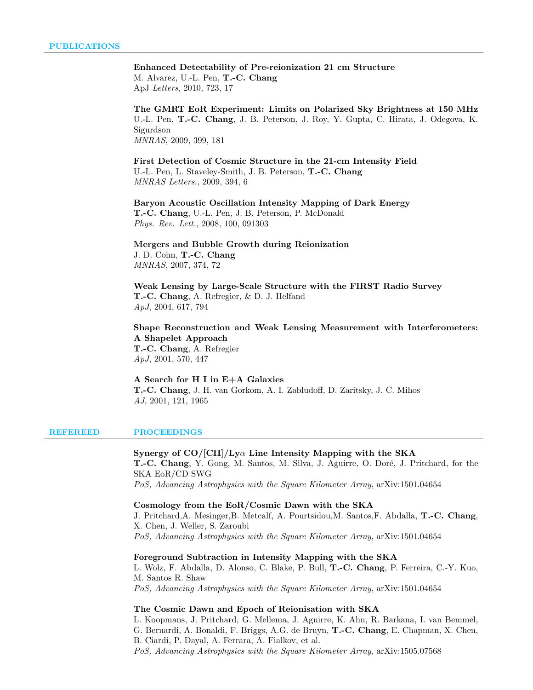## Enhanced Detectability of Pre-reionization 21 cm Structure M. Alvarez, U.-L. Pen, T.-C. Chang

ApJ Letters, 2010, 723, 17

The GMRT EoR Experiment: Limits on Polarized Sky Brightness at 150 MHz U.-L. Pen, T.-C. Chang, J. B. Peterson, J. Roy, Y. Gupta, C. Hirata, J. Odegova, K. Sigurdson MNRAS, 2009, 399, 181

First Detection of Cosmic Structure in the 21-cm Intensity Field U.-L. Pen, L. Staveley-Smith, J. B. Peterson, T.-C. Chang MNRAS Letters., 2009, 394, 6

Baryon Acoustic Oscillation Intensity Mapping of Dark Energy T.-C. Chang, U.-L. Pen, J. B. Peterson, P. McDonald Phys. Rev. Lett., 2008, 100, 091303

#### Mergers and Bubble Growth during Reionization J. D. Cohn, T.-C. Chang MNRAS, 2007, 374, 72

Weak Lensing by Large-Scale Structure with the FIRST Radio Survey T.-C. Chang, A. Refregier, & D. J. Helfand ApJ, 2004, 617, 794

Shape Reconstruction and Weak Lensing Measurement with Interferometers: A Shapelet Approach T.-C. Chang, A. Refregier

ApJ, 2001, 570, 447

## A Search for H I in E+A Galaxies T.-C. Chang, J. H. van Gorkom, A. I. Zabludoff, D. Zaritsky, J. C. Mihos AJ, 2001, 121, 1965

#### REFEREED PROCEEDINGS

Synergy of  $CO/[CII]/Ly\alpha$  Line Intensity Mapping with the SKA T.-C. Chang, Y. Gong, M. Santos, M. Silva, J. Aguirre, O. Doré, J. Pritchard, for the SKA EoR/CD SWG PoS, Advancing Astrophysics with the Square Kilometer Array, arXiv:1501.04654

#### Cosmology from the EoR/Cosmic Dawn with the SKA

J. Pritchard,A. Mesinger,B. Metcalf, A. Pourtsidou,M. Santos,F. Abdalla, T.-C. Chang, X. Chen, J. Weller, S. Zaroubi PoS, Advancing Astrophysics with the Square Kilometer Array, arXiv:1501.04654

#### Foreground Subtraction in Intensity Mapping with the SKA

L. Wolz, F. Abdalla, D. Alonso, C. Blake, P. Bull, T.-C. Chang, P. Ferreira, C.-Y. Kuo, M. Santos R. Shaw PoS, Advancing Astrophysics with the Square Kilometer Array, arXiv:1501.04654

#### The Cosmic Dawn and Epoch of Reionisation with SKA

L. Koopmans, J. Pritchard, G. Mellema, J. Aguirre, K. Ahn, R. Barkana, I. van Bemmel, G. Bernardi, A. Bonaldi, F. Briggs, A.G. de Bruyn, T.-C. Chang, E. Chapman, X. Chen, B. Ciardi, P. Dayal, A. Ferrara, A. Fialkov, et al. PoS, Advancing Astrophysics with the Square Kilometer Array, arXiv:1505.07568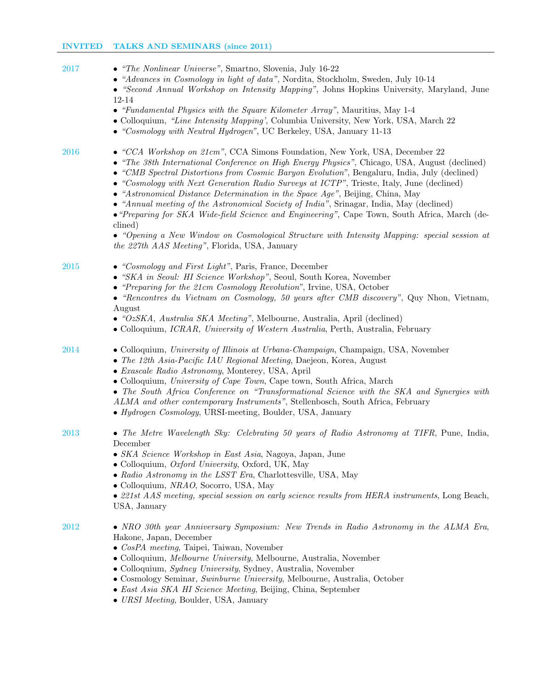| 2017 | • "The Nonlinear Universe", Smartno, Slovenia, July 16-22<br>• "Advances in Cosmology in light of data", Nordita, Stockholm, Sweden, July 10-14<br>• "Second Annual Workshop on Intensity Mapping", Johns Hopkins University, Maryland, June<br>12-14<br>• "Fundamental Physics with the Square Kilometer Array", Mauritius, May 1-4<br>• Colloquium, "Line Intensity Mapping', Columbia University, New York, USA, March 22<br>• "Cosmology with Neutral Hydrogen", UC Berkeley, USA, January 11-13                                                                                                                                                                  |
|------|-----------------------------------------------------------------------------------------------------------------------------------------------------------------------------------------------------------------------------------------------------------------------------------------------------------------------------------------------------------------------------------------------------------------------------------------------------------------------------------------------------------------------------------------------------------------------------------------------------------------------------------------------------------------------|
| 2016 | • "CCA Workshop on $21cm$ ", CCA Simons Foundation, New York, USA, December 22<br>• "The 38th International Conference on High Energy Physics", Chicago, USA, August (declined)<br>• "CMB Spectral Distortions from Cosmic Baryon Evolution", Bengaluru, India, July (declined)<br>• "Cosmology with Next Generation Radio Surveys at ICTP", Trieste, Italy, June (declined)<br>• "Astronomical Distance Determination in the Space Age", Beijing, China, May<br>• "Annual meeting of the Astronomical Society of India", Srinagar, India, May (declined)<br>• "Preparing for SKA Wide-field Science and Engineering", Cape Town, South Africa, March (de-<br>clined) |
|      | • "Opening a New Window on Cosmological Structure with Intensity Mapping: special session at<br>the 227th AAS Meeting", Florida, USA, January                                                                                                                                                                                                                                                                                                                                                                                                                                                                                                                         |
| 2015 | • "Cosmology and First Light", Paris, France, December<br>• "SKA in Seoul: HI Science Workshop", Seoul, South Korea, November<br>• "Preparing for the 21cm Cosmology Revolution", Irvine, USA, October<br>• "Rencontres du Vietnam on Cosmology, 50 years after CMB discovery", Quy Nhon, Vietnam,<br>August<br>• "OzSKA, Australia SKA Meeting", Melbourne, Australia, April (declined)                                                                                                                                                                                                                                                                              |
|      | • Colloquium, <i>ICRAR</i> , <i>University of Western Australia</i> , Perth, Australia, February                                                                                                                                                                                                                                                                                                                                                                                                                                                                                                                                                                      |
| 2014 | • Colloquium, University of Illinois at Urbana-Champaign, Champaign, USA, November<br>• The 12th Asia-Pacific IAU Regional Meeting, Daejeon, Korea, August<br>• Exascale Radio Astronomy, Monterey, USA, April<br>• Colloquium, University of Cape Town, Cape town, South Africa, March                                                                                                                                                                                                                                                                                                                                                                               |
|      | • The South Africa Conference on "Transformational Science with the SKA and Synergies with<br>ALMA and other contemporary Instruments", Stellenbosch, South Africa, February<br>• Hydrogen Cosmology, URSI-meeting, Boulder, USA, January                                                                                                                                                                                                                                                                                                                                                                                                                             |
| 2013 | • The Metre Wavelength Sky: Celebrating 50 years of Radio Astronomy at TIFR, Pune, India,<br>December<br>• SKA Science Workshop in East Asia, Nagoya, Japan, June<br>• Colloquium, <i>Oxford University</i> , Oxford, UK, May<br>• Radio Astronomy in the LSST Era, Charlottesville, USA, May                                                                                                                                                                                                                                                                                                                                                                         |
|      | • Colloquium, NRAO, Socorro, USA, May<br>• 221st AAS meeting, special session on early science results from HERA instruments, Long Beach,<br>USA, January                                                                                                                                                                                                                                                                                                                                                                                                                                                                                                             |
| 2012 | • NRO 30th year Anniversary Symposium: New Trends in Radio Astronomy in the ALMA Era,<br>Hakone, Japan, December<br>$\bullet \ \textit{CosPA} \ \textit{ meeting}, \ \textit{Taipei}, \ \textit{Taivan}, \ \textit{November}$<br>• Colloquium, Melbourne University, Melbourne, Australia, November<br>• Colloquium, <i>Sydney University</i> , Sydney, Australia, November<br>• Cosmology Seminar, Swinburne University, Melbourne, Australia, October<br>• East Asia SKA HI Science Meeting, Beijing, China, September                                                                                                                                              |

• URSI Meeting, Boulder, USA, January